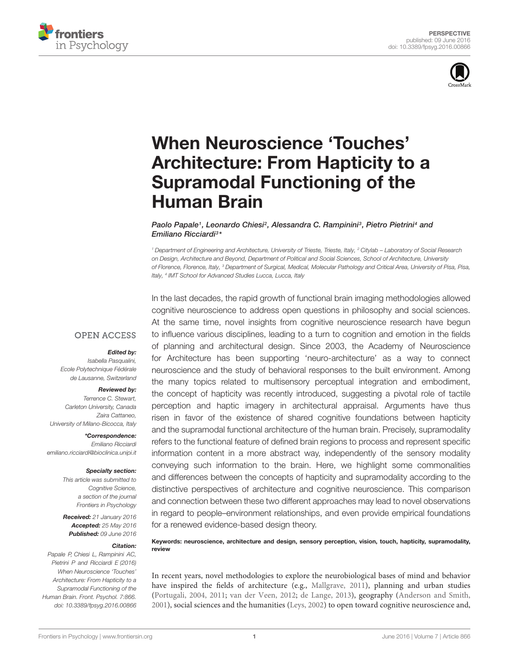



# When Neuroscience 'Touches' [Architecture: From Hapticity to a](http://journal.frontiersin.org/article/10.3389/fpsyg.2016.00866/abstract) Supramodal Functioning of the Human Brain

[Paolo Papale](http://loop.frontiersin.org/people/218787/overview)1, [Leonardo Chiesi](http://loop.frontiersin.org/people/163431/overview)<sup>2</sup>, [Alessandra C. Rampinini](http://loop.frontiersin.org/people/312260/overview)3, [Pietro Pietrini](http://loop.frontiersin.org/people/11007/overview)4 and [Emiliano Ricciardi](http://loop.frontiersin.org/people/18377/overview)<sup>3</sup> \*

<sup>1</sup> Department of Engineering and Architecture, University of Trieste, Trieste, Italy, <sup>2</sup> Citylab – Laboratory of Social Research on Design, Architecture and Beyond, Department of Political and Social Sciences, School of Architecture, University of Florence, Florence, Italy, <sup>3</sup> Department of Surgical, Medical, Molecular Pathology and Critical Area, University of Pisa, Pisa, Italy, <sup>4</sup> IMT School for Advanced Studies Lucca, Lucca, Italy

**OPEN ACCESS** 

#### Edited by:

Isabella Pasqualini, Ecole Polytechnique Fédérale de Lausanne, Switzerland

#### Reviewed by:

Terrence C. Stewart, Carleton University, Canada Zaira Cattaneo, University of Milano-Bicocca, Italy

\*Correspondence: Emiliano Ricciardi emiliano.ricciardi@bioclinica.unipi.it

#### Specialty section:

This article was submitted to Cognitive Science, a section of the journal Frontiers in Psychology

Received: 21 January 2016 Accepted: 25 May 2016 Published: 09 June 2016

#### Citation:

Papale P, Chiesi L, Rampinini AC, Pietrini P and Ricciardi E (2016) When Neuroscience 'Touches' Architecture: From Hapticity to a Supramodal Functioning of the Human Brain. Front. Psychol. 7:866. doi: [10.3389/fpsyg.2016.00866](http://dx.doi.org/10.3389/fpsyg.2016.00866) In the last decades, the rapid growth of functional brain imaging methodologies allowed cognitive neuroscience to address open questions in philosophy and social sciences. At the same time, novel insights from cognitive neuroscience research have begun to influence various disciplines, leading to a turn to cognition and emotion in the fields of planning and architectural design. Since 2003, the Academy of Neuroscience for Architecture has been supporting 'neuro-architecture' as a way to connect neuroscience and the study of behavioral responses to the built environment. Among the many topics related to multisensory perceptual integration and embodiment, the concept of hapticity was recently introduced, suggesting a pivotal role of tactile perception and haptic imagery in architectural appraisal. Arguments have thus risen in favor of the existence of shared cognitive foundations between hapticity and the supramodal functional architecture of the human brain. Precisely, supramodality refers to the functional feature of defined brain regions to process and represent specific information content in a more abstract way, independently of the sensory modality conveying such information to the brain. Here, we highlight some commonalities and differences between the concepts of hapticity and supramodality according to the distinctive perspectives of architecture and cognitive neuroscience. This comparison and connection between these two different approaches may lead to novel observations in regard to people–environment relationships, and even provide empirical foundations for a renewed evidence-based design theory.

Keywords: neuroscience, architecture and design, sensory perception, vision, touch, hapticity, supramodality, review

In recent years, novel methodologies to explore the neurobiological bases of mind and behavior have inspired the fields of architecture (e.g., [Mallgrave, 2011\)](#page-6-0), planning and urban studies [\(Portugali, 2004,](#page-6-1) [2011;](#page-6-2) [van der Veen, 2012;](#page-6-3) [de Lange, 2013\)](#page-5-0), geography [\(Anderson and Smith,](#page-5-1) [2001\)](#page-5-1), social sciences and the humanities [\(Leys, 2002\)](#page-6-4) to open toward cognitive neuroscience and,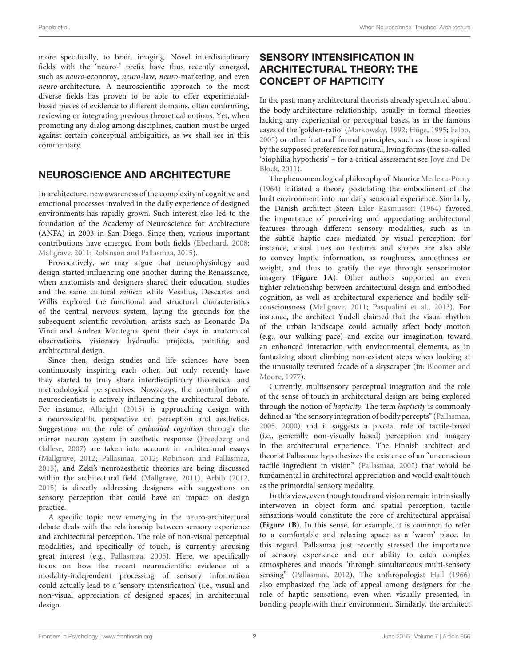more specifically, to brain imaging. Novel interdisciplinary fields with the 'neuro-' prefix have thus recently emerged, such as neuro-economy, neuro-law, neuro-marketing, and even neuro-architecture. A neuroscientific approach to the most diverse fields has proven to be able to offer experimentalbased pieces of evidence to different domains, often confirming, reviewing or integrating previous theoretical notions. Yet, when promoting any dialog among disciplines, caution must be urged against certain conceptual ambiguities, as we shall see in this commentary.

### NEUROSCIENCE AND ARCHITECTURE

In architecture, new awareness of the complexity of cognitive and emotional processes involved in the daily experience of designed environments has rapidly grown. Such interest also led to the foundation of the Academy of Neuroscience for Architecture (ANFA) in 2003 in San Diego. Since then, various important contributions have emerged from both fields [\(Eberhard,](#page-5-2) [2008;](#page-5-2) [Mallgrave,](#page-6-0) [2011;](#page-6-0) [Robinson and Pallasmaa,](#page-6-5) [2015\)](#page-6-5).

Provocatively, we may argue that neurophysiology and design started influencing one another during the Renaissance, when anatomists and designers shared their education, studies and the same cultural milieu: while Vesalius, Descartes and Willis explored the functional and structural characteristics of the central nervous system, laying the grounds for the subsequent scientific revolution, artists such as Leonardo Da Vinci and Andrea Mantegna spent their days in anatomical observations, visionary hydraulic projects, painting and architectural design.

Since then, design studies and life sciences have been continuously inspiring each other, but only recently have they started to truly share interdisciplinary theoretical and methodological perspectives. Nowadays, the contribution of neuroscientists is actively influencing the architectural debate. For instance, [Albright](#page-5-3) [\(2015\)](#page-5-3) is approaching design with a neuroscientific perspective on perception and aesthetics. Suggestions on the role of embodied cognition through the mirror neuron system in aesthetic response [\(Freedberg and](#page-5-4) [Gallese,](#page-5-4) [2007\)](#page-5-4) are taken into account in architectural essays [\(Mallgrave,](#page-6-6) [2012;](#page-6-6) [Pallasmaa,](#page-6-7) [2012;](#page-6-7) [Robinson and Pallasmaa,](#page-6-5) [2015\)](#page-6-5), and Zeki's neuroaesthetic theories are being discussed within the architectural field [\(Mallgrave,](#page-6-0) [2011\)](#page-6-0). [Arbib](#page-5-5) [\(2012,](#page-5-5) [2015\)](#page-5-6) is directly addressing designers with suggestions on sensory perception that could have an impact on design practice.

A specific topic now emerging in the neuro-architectural debate deals with the relationship between sensory experience and architectural perception. The role of non-visual perceptual modalities, and specifically of touch, is currently arousing great interest (e.g., [Pallasmaa,](#page-6-8) [2005\)](#page-6-8). Here, we specifically focus on how the recent neuroscientific evidence of a modality-independent processing of sensory information could actually lead to a 'sensory intensification' (i.e., visual and non-visual appreciation of designed spaces) in architectural design.

### SENSORY INTENSIFICATION IN ARCHITECTURAL THEORY: THE CONCEPT OF HAPTICITY

In the past, many architectural theorists already speculated about the body-architecture relationship, usually in formal theories lacking any experiential or perceptual bases, as in the famous cases of the 'golden-ratio' [\(Markowsky,](#page-6-9) [1992;](#page-6-9) [Höge,](#page-6-10) [1995;](#page-6-10) [Falbo,](#page-5-7) [2005\)](#page-5-7) or other 'natural' formal principles, such as those inspired by the supposed preference for natural, living forms (the so-called 'biophilia hypothesis' – for a critical assessment see [Joye and De](#page-6-11) [Block,](#page-6-11) [2011\)](#page-6-11).

The phenomenological philosophy of Maurice [Merleau-Ponty](#page-6-12) [\(1964\)](#page-6-12) initiated a theory postulating the embodiment of the built environment into our daily sensorial experience. Similarly, the Danish architect Steen Eiler [Rasmussen](#page-6-13) [\(1964\)](#page-6-13) favored the importance of perceiving and appreciating architectural features through different sensory modalities, such as in the subtle haptic cues mediated by visual perception: for instance, visual cues on textures and shapes are also able to convey haptic information, as roughness, smoothness or weight, and thus to gratify the eye through sensorimotor imagery (**[Figure 1A](#page-2-0)**). Other authors supported an even tighter relationship between architectural design and embodied cognition, as well as architectural experience and bodily selfconsciousness [\(Mallgrave,](#page-6-0) [2011;](#page-6-0) [Pasqualini et al.,](#page-6-14) [2013\)](#page-6-14). For instance, the architect Yudell claimed that the visual rhythm of the urban landscape could actually affect body motion (e.g., our walking pace) and excite our imagination toward an enhanced interaction with environmental elements, as in fantasizing about climbing non-existent steps when looking at the unusually textured facade of a skyscraper (in: [Bloomer and](#page-5-8) [Moore,](#page-5-8) [1977\)](#page-5-8).

Currently, multisensory perceptual integration and the role of the sense of touch in architectural design are being explored through the notion of hapticity. The term hapticity is commonly defined as "the sensory integration of bodily percepts" [\(Pallasmaa,](#page-6-8) [2005,](#page-6-8) [2000\)](#page-6-15) and it suggests a pivotal role of tactile-based (i.e., generally non-visually based) perception and imagery in the architectural experience. The Finnish architect and theorist Pallasmaa hypothesizes the existence of an "unconscious tactile ingredient in vision" [\(Pallasmaa,](#page-6-8) [2005\)](#page-6-8) that would be fundamental in architectural appreciation and would exalt touch as the primordial sensory modality.

In this view, even though touch and vision remain intrinsically interwoven in object form and spatial perception, tactile sensations would constitute the core of architectural appraisal (**[Figure 1B](#page-2-0)**). In this sense, for example, it is common to refer to a comfortable and relaxing space as a 'warm' place. In this regard, Pallasmaa just recently stressed the importance of sensory experience and our ability to catch complex atmospheres and moods "through simultaneous multi-sensory sensing" [\(Pallasmaa,](#page-6-7) [2012\)](#page-6-7). The anthropologist [Hall](#page-5-9) [\(1966\)](#page-5-9) also emphasized the lack of appeal among designers for the role of haptic sensations, even when visually presented, in bonding people with their environment. Similarly, the architect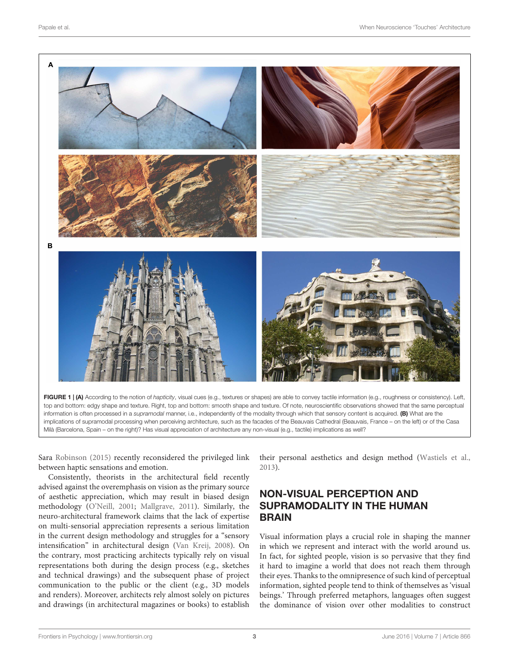

<span id="page-2-0"></span>

Sara [Robinson](#page-6-16) [\(2015\)](#page-6-16) recently reconsidered the privileged link between haptic sensations and emotion.

Consistently, theorists in the architectural field recently advised against the overemphasis on vision as the primary source of aesthetic appreciation, which may result in biased design methodology [\(O'Neill,](#page-6-17) [2001;](#page-6-17) [Mallgrave,](#page-6-0) [2011\)](#page-6-0). Similarly, the neuro-architectural framework claims that the lack of expertise on multi-sensorial appreciation represents a serious limitation in the current design methodology and struggles for a "sensory intensification" in architectural design [\(Van Kreij,](#page-6-18) [2008\)](#page-6-18). On the contrary, most practicing architects typically rely on visual representations both during the design process (e.g., sketches and technical drawings) and the subsequent phase of project communication to the public or the client (e.g., 3D models and renders). Moreover, architects rely almost solely on pictures and drawings (in architectural magazines or books) to establish

their personal aesthetics and design method [\(Wastiels et al.,](#page-7-0) [2013\)](#page-7-0).

### NON-VISUAL PERCEPTION AND SUPRAMODALITY IN THE HUMAN BRAIN

Visual information plays a crucial role in shaping the manner in which we represent and interact with the world around us. In fact, for sighted people, vision is so pervasive that they find it hard to imagine a world that does not reach them through their eyes. Thanks to the omnipresence of such kind of perceptual information, sighted people tend to think of themselves as 'visual beings.' Through preferred metaphors, languages often suggest the dominance of vision over other modalities to construct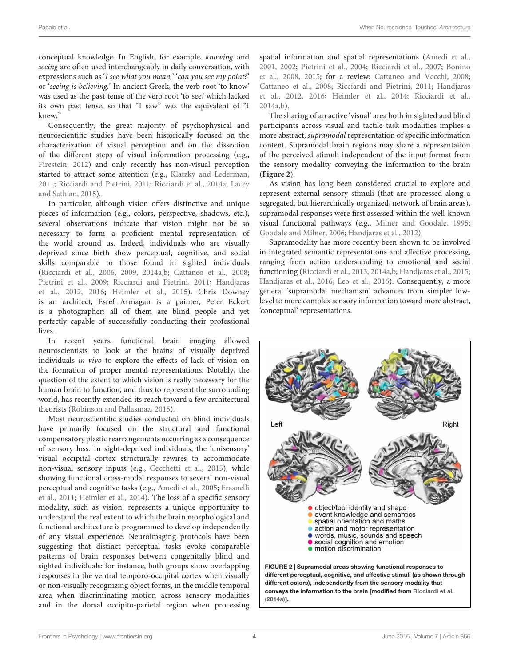conceptual knowledge. In English, for example, knowing and seeing are often used interchangeably in daily conversation, with expressions such as 'I see what you mean,' 'can you see my point?' or 'seeing is believing.' In ancient Greek, the verb root 'to know' was used as the past tense of the verb root 'to see,' which lacked its own past tense, so that "I saw" was the equivalent of "I knew."

Consequently, the great majority of psychophysical and neuroscientific studies have been historically focused on the characterization of visual perception and on the dissection of the different steps of visual information processing (e.g., [Firestein,](#page-5-10) [2012\)](#page-5-10) and only recently has non-visual perception started to attract some attention (e.g., [Klatzky and Lederman,](#page-6-19) [2011;](#page-6-19) [Ricciardi and Pietrini,](#page-6-20) [2011;](#page-6-20) [Ricciardi et al.,](#page-6-21) [2014a;](#page-6-21) [Lacey](#page-6-22) [and Sathian,](#page-6-22) [2015\)](#page-6-22).

In particular, although vision offers distinctive and unique pieces of information (e.g., colors, perspective, shadows, etc.), several observations indicate that vision might not be so necessary to form a proficient mental representation of the world around us. Indeed, individuals who are visually deprived since birth show perceptual, cognitive, and social skills comparable to those found in sighted individuals [\(Ricciardi et al.,](#page-6-23) [2006,](#page-6-23) [2009,](#page-6-24) [2014a](#page-6-21)[,b;](#page-6-25) [Cattaneo et al.,](#page-5-11) [2008;](#page-5-11) [Pietrini et al.,](#page-6-26) [2009;](#page-6-26) [Ricciardi and Pietrini,](#page-6-20) [2011;](#page-6-20) [Handjaras](#page-6-27) [et al.,](#page-6-27) [2012,](#page-6-27) [2016;](#page-6-28) [Heimler et al.,](#page-6-29) [2015\)](#page-6-29). Chris Downey is an architect, Esref Armagan is a painter, Peter Eckert is a photographer: all of them are blind people and yet perfectly capable of successfully conducting their professional lives.

In recent years, functional brain imaging allowed neuroscientists to look at the brains of visually deprived individuals in vivo to explore the effects of lack of vision on the formation of proper mental representations. Notably, the question of the extent to which vision is really necessary for the human brain to function, and thus to represent the surrounding world, has recently extended its reach toward a few architectural theorists [\(Robinson and Pallasmaa,](#page-6-5) [2015\)](#page-6-5).

Most neuroscientific studies conducted on blind individuals have primarily focused on the structural and functional compensatory plastic rearrangements occurring as a consequence of sensory loss. In sight-deprived individuals, the 'unisensory' visual occipital cortex structurally rewires to accommodate non-visual sensory inputs (e.g., [Cecchetti et al.,](#page-5-12) [2015\)](#page-5-12), while showing functional cross-modal responses to several non-visual perceptual and cognitive tasks (e.g., [Amedi et al.,](#page-5-13) [2005;](#page-5-13) [Frasnelli](#page-5-14) [et al.,](#page-5-14) [2011;](#page-5-14) [Heimler et al.,](#page-6-30) [2014\)](#page-6-30). The loss of a specific sensory modality, such as vision, represents a unique opportunity to understand the real extent to which the brain morphological and functional architecture is programmed to develop independently of any visual experience. Neuroimaging protocols have been suggesting that distinct perceptual tasks evoke comparable patterns of brain responses between congenitally blind and sighted individuals: for instance, both groups show overlapping responses in the ventral temporo-occipital cortex when visually or non-visually recognizing object forms, in the middle temporal area when discriminating motion across sensory modalities and in the dorsal occipito-parietal region when processing

spatial information and spatial representations [\(Amedi et al.,](#page-5-15) [2001,](#page-5-15) [2002;](#page-5-16) [Pietrini et al.,](#page-6-31) [2004;](#page-6-31) [Ricciardi et al.,](#page-6-32) [2007;](#page-6-32) [Bonino](#page-5-17) [et al.,](#page-5-17) [2008,](#page-5-17) [2015;](#page-5-18) for a review: [Cattaneo and Vecchi,](#page-5-19) [2008;](#page-5-19) [Cattaneo et al.,](#page-5-11) [2008;](#page-5-11) [Ricciardi and Pietrini,](#page-6-20) [2011;](#page-6-20) [Handjaras](#page-6-27) [et al.,](#page-6-27) [2012,](#page-6-27) [2016;](#page-6-28) [Heimler et al.,](#page-6-30) [2014;](#page-6-30) [Ricciardi et al.,](#page-6-21) [2014a](#page-6-21)[,b\)](#page-6-25).

The sharing of an active 'visual' area both in sighted and blind participants across visual and tactile task modalities implies a more abstract, supramodal representation of specific information content. Supramodal brain regions may share a representation of the perceived stimuli independent of the input format from the sensory modality conveying the information to the brain (**[Figure 2](#page-3-0)**).

As vision has long been considered crucial to explore and represent external sensory stimuli (that are processed along a segregated, but hierarchically organized, network of brain areas), supramodal responses were first assessed within the well-known visual functional pathways (e.g., [Milner and Goodale,](#page-6-33) [1995;](#page-6-33) [Goodale and Milner,](#page-5-20) [2006;](#page-5-20) [Handjaras et al.,](#page-6-27) [2012\)](#page-6-27).

Supramodality has more recently been shown to be involved in integrated semantic representations and affective processing, ranging from action understanding to emotional and social functioning [\(Ricciardi et al.,](#page-6-34) [2013,](#page-6-34) [2014a](#page-6-21)[,b;](#page-6-25) [Handjaras et al.,](#page-6-35) [2015;](#page-6-35) [Handjaras et al.,](#page-6-28) [2016;](#page-6-28) [Leo et al.,](#page-6-36) [2016\)](#page-6-36). Consequently, a more general 'supramodal mechanism' advances from simpler lowlevel to more complex sensory information toward more abstract, 'conceptual' representations.

<span id="page-3-0"></span>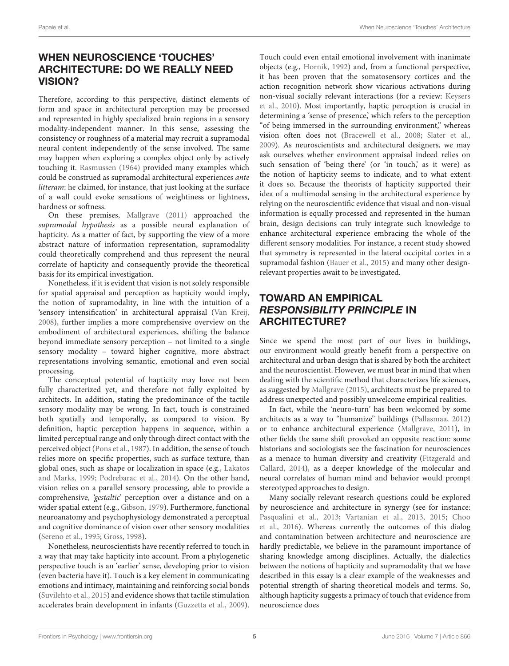## WHEN NEUROSCIENCE 'TOUCHES' ARCHITECTURE: DO WE REALLY NEED VISION?

Therefore, according to this perspective, distinct elements of form and space in architectural perception may be processed and represented in highly specialized brain regions in a sensory modality-independent manner. In this sense, assessing the consistency or roughness of a material may recruit a supramodal neural content independently of the sense involved. The same may happen when exploring a complex object only by actively touching it. [Rasmussen](#page-6-13) [\(1964\)](#page-6-13) provided many examples which could be construed as supramodal architectural experiences ante litteram: he claimed, for instance, that just looking at the surface of a wall could evoke sensations of weightiness or lightness, hardness or softness.

On these premises, [Mallgrave](#page-6-0) [\(2011\)](#page-6-0) approached the supramodal hypothesis as a possible neural explanation of hapticity. As a matter of fact, by supporting the view of a more abstract nature of information representation, supramodality could theoretically comprehend and thus represent the neural correlate of hapticity and consequently provide the theoretical basis for its empirical investigation.

Nonetheless, if it is evident that vision is not solely responsible for spatial appraisal and perception as hapticity would imply, the notion of supramodality, in line with the intuition of a 'sensory intensification' in architectural appraisal [\(Van Kreij,](#page-6-18) [2008\)](#page-6-18), further implies a more comprehensive overview on the embodiment of architectural experiences, shifting the balance beyond immediate sensory perception – not limited to a single sensory modality – toward higher cognitive, more abstract representations involving semantic, emotional and even social processing.

The conceptual potential of hapticity may have not been fully characterized yet, and therefore not fully exploited by architects. In addition, stating the predominance of the tactile sensory modality may be wrong. In fact, touch is constrained both spatially and temporally, as compared to vision. By definition, haptic perception happens in sequence, within a limited perceptual range and only through direct contact with the perceived object [\(Pons et al.,](#page-6-37) [1987\)](#page-6-37). In addition, the sense of touch relies more on specific properties, such as surface texture, than global ones, such as shape or localization in space (e.g., [Lakatos](#page-6-38) [and Marks,](#page-6-38) [1999;](#page-6-38) [Podrebarac et al.,](#page-6-39) [2014\)](#page-6-39). On the other hand, vision relies on a parallel sensory processing, able to provide a comprehensive, 'gestaltic' perception over a distance and on a wider spatial extent (e.g., [Gibson,](#page-5-21) [1979\)](#page-5-21). Furthermore, functional neuroanatomy and psychophysiology demonstrated a perceptual and cognitive dominance of vision over other sensory modalities [\(Sereno et al.,](#page-6-40) [1995;](#page-6-40) [Gross,](#page-5-22) [1998\)](#page-5-22).

Nonetheless, neuroscientists have recently referred to touch in a way that may take hapticity into account. From a phylogenetic perspective touch is an 'earlier' sense, developing prior to vision (even bacteria have it). Touch is a key element in communicating emotions and intimacy, maintaining and reinforcing social bonds [\(Suvilehto et al.,](#page-6-41) [2015\)](#page-6-41) and evidence shows that tactile stimulation accelerates brain development in infants [\(Guzzetta et al.,](#page-5-23) [2009\)](#page-5-23).

Touch could even entail emotional involvement with inanimate objects (e.g., [Hornik,](#page-6-42) [1992\)](#page-6-42) and, from a functional perspective, it has been proven that the somatosensory cortices and the action recognition network show vicarious activations during non-visual socially relevant interactions (for a review: [Keysers](#page-6-43) [et al.,](#page-6-43) [2010\)](#page-6-43). Most importantly, haptic perception is crucial in determining a 'sense of presence,' which refers to the perception "of being immersed in the surrounding environment," whereas vision often does not [\(Bracewell et al.,](#page-5-24) [2008;](#page-5-24) [Slater et al.,](#page-6-44) [2009\)](#page-6-44). As neuroscientists and architectural designers, we may ask ourselves whether environment appraisal indeed relies on such sensation of 'being there' (or 'in touch,' as it were) as the notion of hapticity seems to indicate, and to what extent it does so. Because the theorists of hapticity supported their idea of a multimodal sensing in the architectural experience by relying on the neuroscientific evidence that visual and non-visual information is equally processed and represented in the human brain, design decisions can truly integrate such knowledge to enhance architectural experience embracing the whole of the different sensory modalities. For instance, a recent study showed that symmetry is represented in the lateral occipital cortex in a supramodal fashion [\(Bauer et al.,](#page-5-25) [2015\)](#page-5-25) and many other designrelevant properties await to be investigated.

# TOWARD AN EMPIRICAL RESPONSIBILITY PRINCIPLE IN ARCHITECTURE?

Since we spend the most part of our lives in buildings, our environment would greatly benefit from a perspective on architectural and urban design that is shared by both the architect and the neuroscientist. However, we must bear in mind that when dealing with the scientific method that characterizes life sciences, as suggested by [Mallgrave](#page-6-45) [\(2015\)](#page-6-45), architects must be prepared to address unexpected and possibly unwelcome empirical realities.

In fact, while the 'neuro-turn' has been welcomed by some architects as a way to "humanize" buildings [\(Pallasmaa,](#page-6-7) [2012\)](#page-6-7) or to enhance architectural experience [\(Mallgrave,](#page-6-0) [2011\)](#page-6-0), in other fields the same shift provoked an opposite reaction: some historians and sociologists see the fascination for neurosciences as a menace to human diversity and creativity [\(Fitzgerald and](#page-5-26) [Callard,](#page-5-26) [2014\)](#page-5-26), as a deeper knowledge of the molecular and neural correlates of human mind and behavior would prompt stereotyped approaches to design.

Many socially relevant research questions could be explored by neuroscience and architecture in synergy (see for instance: [Pasqualini et al.,](#page-6-14) [2013;](#page-6-14) [Vartanian et al.,](#page-7-1) [2013,](#page-7-1) [2015;](#page-7-2) [Choo](#page-5-27) [et al.,](#page-5-27) [2016\)](#page-5-27). Whereas currently the outcomes of this dialog and contamination between architecture and neuroscience are hardly predictable, we believe in the paramount importance of sharing knowledge among disciplines. Actually, the dialectics between the notions of hapticity and supramodality that we have described in this essay is a clear example of the weaknesses and potential strength of sharing theoretical models and terms. So, although hapticity suggests a primacy of touch that evidence from neuroscience does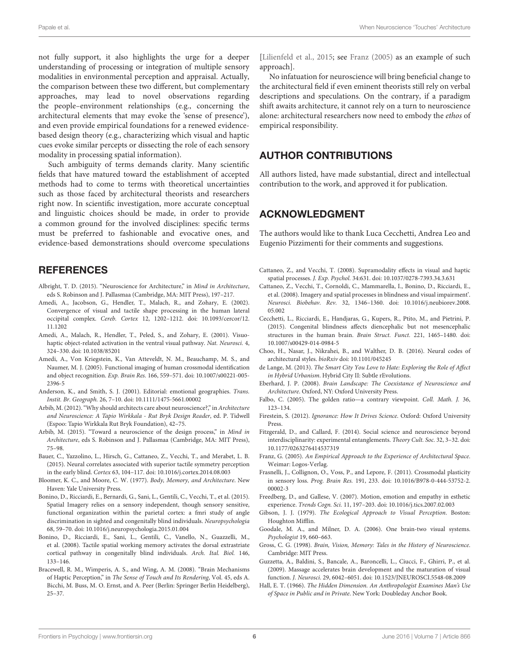not fully support, it also highlights the urge for a deeper understanding of processing or integration of multiple sensory modalities in environmental perception and appraisal. Actually, the comparison between these two different, but complementary approaches, may lead to novel observations regarding the people–environment relationships (e.g., concerning the architectural elements that may evoke the 'sense of presence'), and even provide empirical foundations for a renewed evidencebased design theory (e.g., characterizing which visual and haptic cues evoke similar percepts or dissecting the role of each sensory modality in processing spatial information).

Such ambiguity of terms demands clarity. Many scientific fields that have matured toward the establishment of accepted methods had to come to terms with theoretical uncertainties such as those faced by architectural theorists and researchers right now. In scientific investigation, more accurate conceptual and linguistic choices should be made, in order to provide a common ground for the involved disciplines: specific terms must be preferred to fashionable and evocative ones, and evidence-based demonstrations should overcome speculations

#### **REFERENCES**

- <span id="page-5-3"></span>Albright, T. D. (2015). "Neuroscience for Architecture," in Mind in Architecture, eds S. Robinson and J. Pallasmaa (Cambridge, MA: MIT Press), 197–217.
- <span id="page-5-16"></span>Amedi, A., Jacobson, G., Hendler, T., Malach, R., and Zohary, E. (2002). Convergence of visual and tactile shape processing in the human lateral occipital complex. Cereb. Cortex 12, 1202–1212. doi: 10.1093/cercor/12. 11.1202
- <span id="page-5-15"></span>Amedi, A., Malach, R., Hendler, T., Peled, S., and Zohary, E. (2001). Visuohaptic object-related activation in the ventral visual pathway. Nat. Neurosci. 4, 324–330. doi: 10.1038/85201
- <span id="page-5-13"></span>Amedi, A., Von Kriegstein, K., Van Atteveldt, N. M., Beauchamp, M. S., and Naumer, M. J. (2005). Functional imaging of human crossmodal identification and object recognition. Exp. Brain Res. 166, 559–571. doi: 10.1007/s00221-005- 2396-5
- <span id="page-5-1"></span>Anderson, K., and Smith, S. J. (2001). Editorial: emotional geographies. Trans. Instit. Br. Geograph. 26, 7–10. doi: 10.1111/1475-5661.00002
- <span id="page-5-5"></span>Arbib, M. (2012). "Why should architects care about neuroscience?," in Architecture and Neuroscience: A Tapio Wirkkala - Rut Bryk Design Reader, ed. P. Tidwell (Espoo: Tapio Wirkkala Rut Bryk Foundation), 42–75.
- <span id="page-5-6"></span>Arbib, M. (2015). "Toward a neuroscience of the design process," in Mind in Architecture, eds S. Robinson and J. Pallasmaa (Cambridge, MA: MIT Press), 75–98.
- <span id="page-5-25"></span>Bauer, C., Yazzolino, L., Hirsch, G., Cattaneo, Z., Vecchi, T., and Merabet, L. B. (2015). Neural correlates associated with superior tactile symmetry perception in the early blind. Cortex 63, 104–117. doi: 10.1016/j.cortex.2014.08.003
- <span id="page-5-8"></span>Bloomer, K. C., and Moore, C. W. (1977). Body, Memory, and Architecture. New Haven: Yale University Press.
- <span id="page-5-18"></span>Bonino, D., Ricciardi, E., Bernardi, G., Sani, L., Gentili, C., Vecchi, T., et al. (2015). Spatial Imagery relies on a sensory independent, though sensory sensitive, functional organization within the parietal cortex: a fmri study of angle discrimination in sighted and congenitally blind individuals. Neuropsychologia 68, 59–70. doi: 10.1016/j.neuropsychologia.2015.01.004
- <span id="page-5-17"></span>Bonino, D., Ricciardi, E., Sani, L., Gentili, C., Vanello, N., Guazzelli, M., et al. (2008). Tactile spatial working memory activates the dorsal extrastriate cortical pathway in congenitally blind individuals. Arch. Ital. Biol. 146, 133–146.
- <span id="page-5-24"></span>Bracewell, R. M., Wimperis, A. S., and Wing, A. M. (2008). "Brain Mechanisms of Haptic Perception," in The Sense of Touch and Its Rendering, Vol. 45, eds A. Bicchi, M. Buss, M. O. Ernst, and A. Peer (Berlin: Springer Berlin Heidelberg), 25–37.

[\[Lilienfeld et al.,](#page-6-46) [2015;](#page-6-46) see [Franz](#page-5-28) [\(2005\)](#page-5-28) as an example of such approach].

No infatuation for neuroscience will bring beneficial change to the architectural field if even eminent theorists still rely on verbal descriptions and speculations. On the contrary, if a paradigm shift awaits architecture, it cannot rely on a turn to neuroscience alone: architectural researchers now need to embody the ethos of empirical responsibility.

### AUTHOR CONTRIBUTIONS

All authors listed, have made substantial, direct and intellectual contribution to the work, and approved it for publication.

#### ACKNOWLEDGMENT

The authors would like to thank Luca Cecchetti, Andrea Leo and Eugenio Pizzimenti for their comments and suggestions.

- <span id="page-5-19"></span>Cattaneo, Z., and Vecchi, T. (2008). Supramodality effects in visual and haptic spatial processes. J. Exp. Psychol. 34:631. doi: 10.1037/0278-7393.34.3.631
- <span id="page-5-11"></span>Cattaneo, Z., Vecchi, T., Cornoldi, C., Mammarella, I., Bonino, D., Ricciardi, E., et al. (2008). Imagery and spatial processes in blindness and visual impairment'. Neurosci. Biobehav. Rev. 32, 1346–1360. doi: 10.1016/j.neubiorev.2008. 05.002
- <span id="page-5-12"></span>Cecchetti, L., Ricciardi, E., Handjaras, G., Kupers, R., Ptito, M., and Pietrini, P. (2015). Congenital blindness affects diencephalic but not mesencephalic structures in the human brain. Brain Struct. Funct. 221, 1465–1480. doi: 10.1007/s00429-014-0984-5
- <span id="page-5-27"></span>Choo, H., Nasar, J., Nikrahei, B., and Walther, D. B. (2016). Neural codes of architectural styles. bioRxiv doi: 10.1101/045245
- <span id="page-5-0"></span>de Lange, M. (2013). The Smart City You Love to Hate: Exploring the Role of Affect in Hybrid Urbanism. Hybrid City II: Subtle rEvolutions.
- <span id="page-5-2"></span>Eberhard, J. P. (2008). Brain Landscape: The Coexistance of Neuroscience and Architecture. Oxford, NY: Oxford University Press.
- <span id="page-5-7"></span>Falbo, C. (2005). The golden ratio—a contrary viewpoint. Coll. Math. J. 36, 123–134.
- <span id="page-5-10"></span>Firestein, S. (2012). Ignorance: How It Drives Science. Oxford: Oxford University Press.
- <span id="page-5-26"></span>Fitzgerald, D., and Callard, F. (2014). Social science and neuroscience beyond interdisciplinarity: experimental entanglements. Theory Cult. Soc. 32, 3–32. doi: 10.1177/0263276414537319
- <span id="page-5-28"></span>Franz, G. (2005). An Empirical Approach to the Experience of Architectural Space. Weimar: Logos-Verlag.
- <span id="page-5-14"></span>Frasnelli, J., Collignon, O., Voss, P., and Lepore, F. (2011). Crossmodal plasticity in sensory loss. Prog. Brain Res. 191, 233. doi: 10.1016/B978-0-444-53752-2. 00002-3
- <span id="page-5-4"></span>Freedberg, D., and Gallese, V. (2007). Motion, emotion and empathy in esthetic experience. Trends Cogn. Sci. 11, 197–203. doi: 10.1016/j.tics.2007.02.003
- <span id="page-5-21"></span>Gibson, J. J. (1979). The Ecological Approach to Visual Perception. Boston: Houghton Mifflin.
- <span id="page-5-20"></span>Goodale, M. A., and Milner, D. A. (2006). One brain-two visual systems. Psychologist 19, 660–663.
- <span id="page-5-22"></span>Gross, C. G. (1998). Brain, Vision, Memory: Tales in the History of Neuroscience. Cambridge: MIT Press.
- <span id="page-5-23"></span>Guzzetta, A., Baldini, S., Bancale, A., Baroncelli, L., Ciucci, F., Ghirri, P., et al. (2009). Massage accelerates brain development and the maturation of visual function. J. Neurosci. 29, 6042–6051. doi: 10.1523/JNEUROSCI.5548-08.2009
- <span id="page-5-9"></span>Hall, E. T. (1966). The Hidden Dimension. An Anthropologist Examines Man's Use of Space in Public and in Private. New York: Doubleday Anchor Book.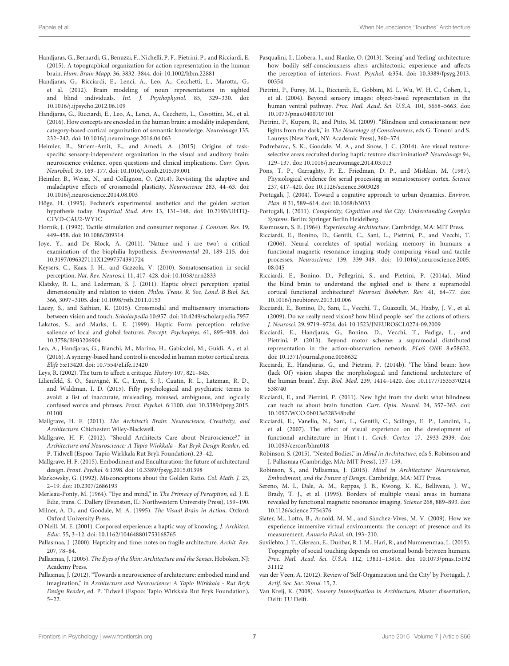- <span id="page-6-35"></span>Handjaras, G., Bernardi, G., Benuzzi, F., Nichelli, P. F., Pietrini, P., and Ricciardi, E. (2015). A topographical organization for action representation in the human brain. Hum. Brain Mapp. 36, 3832–3844. doi: 10.1002/hbm.22881
- <span id="page-6-27"></span>Handjaras, G., Ricciardi, E., Lenci, A., Leo, A., Cecchetti, L., Marotta, G., et al. (2012). Brain modeling of noun representations in sighted and blind individuals. Int. J. Psychophysiol. 85, 329–330. doi: 10.1016/j.ijpsycho.2012.06.109
- <span id="page-6-28"></span>Handjaras, G., Ricciardi, E., Leo, A., Lenci, A., Cecchetti, L., Cosottini, M., et al. (2016). How concepts are encoded in the human brain: a modality independent, category-based cortical organization of semantic knowledge. Neuroimage 135, 232–242. doi: 10.1016/j.neuroimage.2016.04.063
- <span id="page-6-29"></span>Heimler, B., Striem-Amit, E., and Amedi, A. (2015). Origins of taskspecific sensory-independent organization in the visual and auditory brain: neuroscience evidence, open questions and clinical implications. Curr. Opin. Neurobiol. 35, 169–177. doi: 10.1016/j.conb.2015.09.001
- <span id="page-6-30"></span>Heimler, B., Weisz, N., and Collignon, O. (2014). Revisiting the adaptive and maladaptive effects of crossmodal plasticity. Neuroscience 283, 44–63. doi: 10.1016/j.neuroscience.2014.08.003
- <span id="page-6-10"></span>Höge, H. (1995). Fechner's experimental aesthetics and the golden section hypothesis today. Empirical Stud. Arts 13, 131–148. doi: 10.2190/UHTQ-CFVD-CAU2-WY1C
- <span id="page-6-42"></span>Hornik, J. (1992). Tactile stimulation and consumer response. J. Consum. Res. 19, 449–458. doi: 10.1086/209314
- <span id="page-6-11"></span>Joye, Y., and De Block, A. (2011). 'Nature and i are two': a critical examination of the biophilia hypothesis. Environmental 20, 189–215. doi: 10.3197/096327111X12997574391724
- <span id="page-6-43"></span>Keysers, C., Kaas, J. H., and Gazzola, V. (2010). Somatosensation in social perception. Nat. Rev. Neurosci. 11, 417–428. doi: 10.1038/nrn2833
- <span id="page-6-19"></span>Klatzky, R. L., and Lederman, S. J. (2011). Haptic object perception: spatial dimensionality and relation to vision. Philos. Trans. R. Soc. Lond. B Biol. Sci. 366, 3097–3105. doi: 10.1098/rstb.2011.0153
- <span id="page-6-22"></span>Lacey, S., and Sathian, K. (2015). Crossmodal and multisensory interactions between vision and touch. Scholarpedia 10:957. doi: 10.4249/scholarpedia.7957
- <span id="page-6-38"></span>Lakatos, S., and Marks, L. E. (1999). Haptic Form perception: relative salience of local and global features. Percept. Psychophys. 61, 895-908. doi: 10.3758/BF03206904
- <span id="page-6-36"></span>Leo, A., Handjaras, G., Bianchi, M., Marino, H., Gabiccini, M., Guidi, A., et al. (2016). A synergy-based hand control is encoded in human motor cortical areas. Elife 5:e13420. doi: 10.7554/eLife.13420
- <span id="page-6-4"></span>Leys, R. (2002). The turn to affect: a critique. History 107, 821–845.
- <span id="page-6-46"></span>Lilienfeld, S. O., Sauvigné, K. C., Lynn, S. J., Cautin, R. L., Latzman, R. D., and Waldman, I. D. (2015). Fifty psychological and psychiatric terms to avoid: a list of inaccurate, misleading, misused, ambiguous, and logically confused words and phrases. Front. Psychol. 6:1100. doi: 10.3389/fpsyg.2015. 01100
- <span id="page-6-0"></span>Mallgrave, H. F. (2011). The Architect's Brain: Neuroscience, Creativity, and Architecture. Chichester: Wiley-Blackwell.
- <span id="page-6-6"></span>Mallgrave, H. F. (2012). "Should Architects Care about Neuroscience?," in Architecture and Neuroscience: A Tapio Wirkkala - Rut Bryk Design Reader, ed. P. Tidwell (Espoo: Tapio Wirkkala Rut Bryk Foundation), 23–42.
- <span id="page-6-45"></span>Mallgrave, H. F. (2015). Embodiment and Enculturation: the future of architectural design. Front. Psychol. 6:1398. doi: 10.3389/fpsyg.2015.01398
- <span id="page-6-9"></span>Markowsky, G. (1992). Misconceptions about the Golden Ratio. Col. Math. J. 23, 2–19. doi: 10.2307/2686193
- <span id="page-6-12"></span>Merleau-Ponty, M. (1964). "Eye and mind," in The Primacy of Perception, ed. J. E. Edie, trans. C. Dallery (Evanston, IL: Northwestern University Press), 159–190.
- <span id="page-6-33"></span>Milner, A. D., and Goodale, M. A. (1995). The Visual Brain in Action. Oxford: Oxford University Press.
- <span id="page-6-17"></span>O'Neill, M. E. (2001). Corporeal experience: a haptic way of knowing. J. Architect. Educ. 55, 3–12. doi: 10.1162/104648801753168765
- <span id="page-6-15"></span>Pallasmaa, J. (2000). Hapticity and time: notes on fragile architecture. Archit. Rev. 207, 78–84.
- <span id="page-6-8"></span>Pallasmaa, J. (2005). The Eyes of the Skin: Architecture and the Senses. Hoboken, NJ: Academy Press.
- <span id="page-6-7"></span>Pallasmaa, J. (2012). "Towards a neuroscience of architecture: embodied mind and imagination," in Architecture and Neuroscience: A Tapio Wirkkala - Rut Bryk Design Reader, ed. P. Tidwell (Espoo: Tapio Wirkkala Rut Bryk Foundation), 5–22.
- <span id="page-6-14"></span>Pasqualini, I., Llobera, J., and Blanke, O. (2013). 'Seeing' and 'feeling' architecture: how bodily self-consciousness alters architectonic experience and affects the perception of interiors. Front. Psychol. 4:354. doi: 10.3389/fpsyg.2013. 00354
- <span id="page-6-31"></span>Pietrini, P., Furey, M. L., Ricciardi, E., Gobbini, M. I., Wu, W. H. C., Cohen, L., et al. (2004). Beyond sensory images: object-based representation in the human ventral pathway. Proc. Natl. Acad. Sci. U.S.A. 101, 5658–5663. doi: 10.1073/pnas.0400707101
- <span id="page-6-26"></span>Pietrini, P., Kupers, R., and Ptito, M. (2009). "Blindness and consciousness: new lights from the dark," in The Neurology of Consciousness, eds G. Tononi and S. Laureys (New York, NY: Academic Press), 360–374.
- <span id="page-6-39"></span>Podrebarac, S. K., Goodale, M. A., and Snow, J. C. (2014). Are visual textureselective areas recruited during haptic texture discrimination? Neuroimage 94, 129–137. doi: 10.1016/j.neuroimage.2014.03.013
- <span id="page-6-37"></span>Pons, T. P., Garraghty, P. E., Friedman, D. P., and Mishkin, M. (1987). Physiological evidence for serial processing in somatosensory cortex. Science 237, 417–420. doi: 10.1126/science.3603028
- <span id="page-6-1"></span>Portugali, J. (2004). Toward a cognitive approach to urban dynamics. Environ. Plan. B 31, 589–614. doi: 10.1068/b3033
- <span id="page-6-2"></span>Portugali, J. (2011). Complexity, Cognition and the City. Understanding Complex Systems. Berlin: Springer Berlin Heidelberg.
- <span id="page-6-23"></span><span id="page-6-13"></span>Rasmussen, S. E. (1964). Experiencing Architecture. Cambridge, MA: MIT Press.
- Ricciardi, E., Bonino, D., Gentili, C., Sani, L., Pietrini, P., and Vecchi, T. (2006). Neural correlates of spatial working memory in humans: a functional magnetic resonance imaging study comparing visual and tactile processes. Neuroscience 139, 339–349. doi: 10.1016/j.neuroscience.2005. 08.045
- <span id="page-6-21"></span>Ricciardi, E., Bonino, D., Pellegrini, S., and Pietrini, P. (2014a). Mind the blind brain to understand the sighted one! is there a supramodal cortical functional architecture? Neurosci Biobehav. Rev. 41, 64–77. doi: 10.1016/j.neubiorev.2013.10.006
- <span id="page-6-24"></span>Ricciardi, E., Bonino, D., Sani, L., Vecchi, T., Guazzelli, M., Haxby, J. V., et al. (2009). Do we really need vision? how blind people "see" the actions of others. J. Neurosci. 29, 9719–9724. doi: 10.1523/JNEUROSCI.0274-09.2009
- <span id="page-6-34"></span>Ricciardi, E., Handjaras, G., Bonino, D., Vecchi, T., Fadiga, L., and Pietrini, P. (2013). Beyond motor scheme: a supramodal distributed representation in the action-observation network. PLoS ONE 8:e58632. doi: 10.1371/journal.pone.0058632
- <span id="page-6-25"></span>Ricciardi, E., Handjaras, G., and Pietrini, P. (2014b). 'The blind brain: how (lack Of) vision shapes the morphological and functional architecture of the human brain'. Exp. Biol. Med. 239, 1414–1420. doi: 10.1177/1535370214 538740
- <span id="page-6-20"></span>Ricciardi, E., and Pietrini, P. (2011). New light from the dark: what blindness can teach us about brain function. Curr. Opin. Neurol. 24, 357–363. doi: 10.1097/WCO.0b013e328348bdbf
- <span id="page-6-32"></span>Ricciardi, E., Vanello, N., Sani, L., Gentili, C., Scilingo, E. P., Landini, L., et al. (2007). The effect of visual experience on the development of functional architecture in Hmt++. Cereb. Cortex 17, 2933–2939. doi: 10.1093/cercor/bhm018
- <span id="page-6-16"></span>Robinson, S. (2015). "Nested Bodies," in Mind in Architecture, eds S. Robinson and J. Pallasmaa (Cambridge, MA: MIT Press), 137–159.
- <span id="page-6-5"></span>Robinson, S., and Pallasmaa, J. (2015). Mind in Architecture: Neuroscience, Embodiment, and the Future of Design. Cambridge, MA: MIT Press.
- <span id="page-6-40"></span>Sereno, M. I., Dale, A. M., Reppas, J. B., Kwong, K. K., Belliveau, J. W., Brady, T. J., et al. (1995). Borders of multiple visual areas in humans revealed by functional magnetic resonance imaging. Science 268, 889–893. doi: 10.1126/science.7754376
- <span id="page-6-44"></span>Slater, M., Lotto, B., Arnold, M. M., and Sánchez-Vives, M. V. (2009). How we experience immersive virtual environments: the concept of presence and its measurement. Anuario Psicol. 40, 193–210.
- <span id="page-6-41"></span>Suvilehto, J. T., Glerean, E., Dunbar, R. I. M., Hari, R., and Nummenmaa, L. (2015). Topography of social touching depends on emotional bonds between humans. Proc. Natl. Acad. Sci. U.S.A. 112, 13811–13816. doi: 10.1073/pnas.15192 31112
- <span id="page-6-3"></span>van der Veen, A. (2012). Review of 'Self-Organization and the City' by Portugali. J. Artif. Soc. Soc. Simul. 15, 2.
- <span id="page-6-18"></span>Van Kreij, K. (2008). Sensory Intensification in Architecture, Master dissertation, Delft: TU Delft.